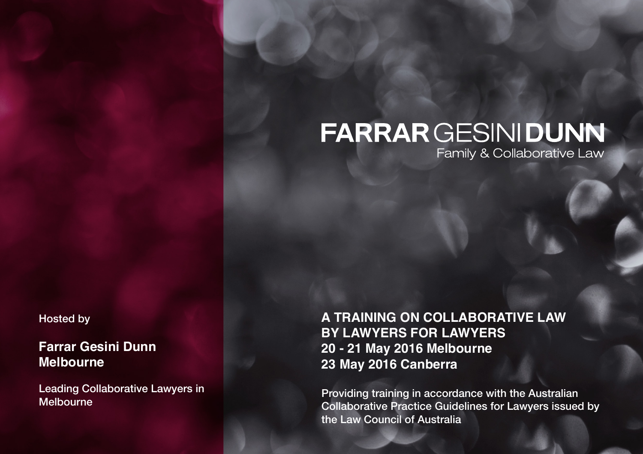# **FARRAR GESINI DUNN**

Family & Collaborative Law

Hosted by

**Farrar Gesini Dunn Melbourne**

Leading Collaborative Lawyers in Melbourne

**A TRAINING ON COLLABORATIVE LAW BY LAWYERS FOR LAWYERS 20 - 21 May 2016 Melbourne 23 May 2016 Canberra**

Providing training in accordance with the Australian Collaborative Practice Guidelines for Lawyers issued by the Law Council of Australia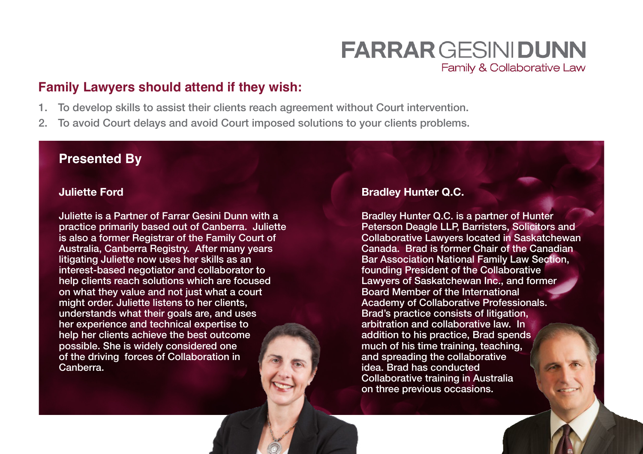## **FARRAR GESINI DUNN** Family & Collaborative Law

### **Family Lawyers should attend if they wish:**

- 1. To develop skills to assist their clients reach agreement without Court intervention.
- 2. To avoid Court delays and avoid Court imposed solutions to your clients problems.

#### **Presented By**

#### **Juliette Ford**

Juliette is a Partner of Farrar Gesini Dunn with a practice primarily based out of Canberra. Juliette is also a former Registrar of the Family Court of Australia, Canberra Registry. After many years litigating Juliette now uses her skills as an interest-based negotiator and collaborator to help clients reach solutions which are focused on what they value and not just what a court might order. Juliette listens to her clients, understands what their goals are, and uses her experience and technical expertise to help her clients achieve the best outcome possible. She is widely considered one of the driving forces of Collaboration in Canberra.

#### **Bradley Hunter Q.C.**

Bradley Hunter Q.C. is a partner of Hunter Peterson Deagle LLP, Barristers, Solicitors and Collaborative Lawyers located in Saskatchewan Canada. Brad is former Chair of the Canadian Bar Association National Family Law Section, founding President of the Collaborative Lawyers of Saskatchewan Inc., and former Board Member of the International Academy of Collaborative Professionals. Brad's practice consists of litigation, arbitration and collaborative law. In addition to his practice, Brad spends much of his time training, teaching, and spreading the collaborative idea. Brad has conducted Collaborative training in Australia on three previous occasions.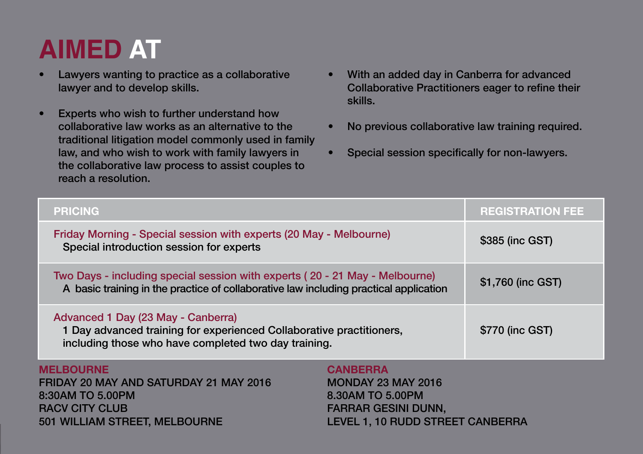# **AIMED AT**

- Lawyers wanting to practice as a collaborative lawyer and to develop skills.
- Experts who wish to further understand how collaborative law works as an alternative to the traditional litigation model commonly used in family law, and who wish to work with family lawyers in the collaborative law process to assist couples to reach a resolution.
- With an added day in Canberra for advanced Collaborative Practitioners eager to refine their skills.
- No previous collaborative law training required.
- Special session specifically for non-lawyers.

| <b>PRICING</b>                                                                                                                                                       | <b>REGISTRATION FEE</b>                                                                                                            |  |
|----------------------------------------------------------------------------------------------------------------------------------------------------------------------|------------------------------------------------------------------------------------------------------------------------------------|--|
| Friday Morning - Special session with experts (20 May - Melbourne)<br>Special introduction session for experts                                                       | \$385 (inc GST)                                                                                                                    |  |
| Two Days - including special session with experts (20 - 21 May - Melbourne)<br>A basic training in the practice of collaborative law including practical application | \$1,760 (inc GST)                                                                                                                  |  |
| Advanced 1 Day (23 May - Canberra)<br>1 Day advanced training for experienced Collaborative practitioners,<br>including those who have completed two day training.   | \$770 (inc GST)                                                                                                                    |  |
| <b>MELBOURNE</b><br>FRIDAY 20 MAY AND SATURDAY 21 MAY 2016<br>8:30AM TO 5.00PM<br><b>RACV CITY CLUB</b><br>501 WILLIAM STREET, MELBOURNE                             | <b>CANBERRA</b><br><b>MONDAY 23 MAY 2016</b><br>8.30AM TO 5.00PM<br><b>FARRAR GESINI DUNN,</b><br>LEVEL 1, 10 RUDD STREET CANBERRA |  |